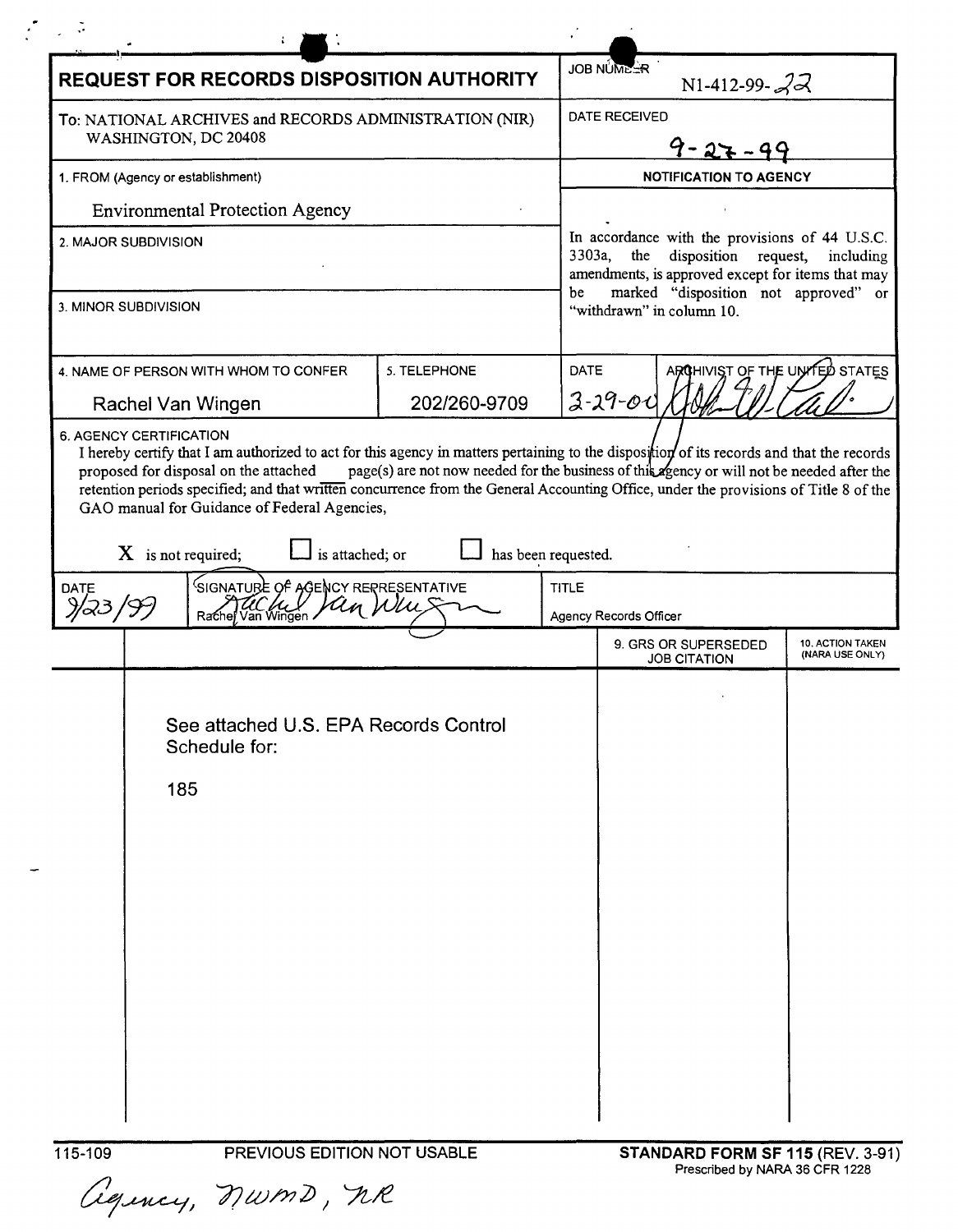| <b>REQUEST FOR RECORDS DISPOSITION AUTHORITY</b>                                                                                                                                                                                                                                                                       |                     |             | <b>JOB NUMEER</b><br>N1-412-99- $22$                                                                                                                         |                                     |  |  |
|------------------------------------------------------------------------------------------------------------------------------------------------------------------------------------------------------------------------------------------------------------------------------------------------------------------------|---------------------|-------------|--------------------------------------------------------------------------------------------------------------------------------------------------------------|-------------------------------------|--|--|
| To: NATIONAL ARCHIVES and RECORDS ADMINISTRATION (NIR)<br>WASHINGTON, DC 20408                                                                                                                                                                                                                                         |                     |             | <b>DATE RECEIVED</b><br>$9 - 27 - 99$                                                                                                                        |                                     |  |  |
| 1. FROM (Agency or establishment)                                                                                                                                                                                                                                                                                      |                     |             | <b>NOTIFICATION TO AGENCY</b>                                                                                                                                |                                     |  |  |
| <b>Environmental Protection Agency</b>                                                                                                                                                                                                                                                                                 |                     |             |                                                                                                                                                              |                                     |  |  |
| 2. MAJOR SUBDIVISION                                                                                                                                                                                                                                                                                                   |                     |             | In accordance with the provisions of 44 U.S.C.<br>3303a,<br>the<br>disposition<br>request,<br>including<br>amendments, is approved except for items that may |                                     |  |  |
| 3. MINOR SUBDIVISION                                                                                                                                                                                                                                                                                                   |                     | be          | marked "disposition not approved" or<br>"withdrawn" in column 10.                                                                                            |                                     |  |  |
| 4. NAME OF PERSON WITH WHOM TO CONFER                                                                                                                                                                                                                                                                                  | 5. TELEPHONE        | <b>DATE</b> | ARCHIVIST OF THE UNITED STATES                                                                                                                               |                                     |  |  |
| Rachel Van Wingen                                                                                                                                                                                                                                                                                                      | 202/260-9709        |             | $3 - 29 - 00$                                                                                                                                                |                                     |  |  |
| proposed for disposal on the attached<br>retention periods specified; and that written concurrence from the General Accounting Office, under the provisions of Title 8 of the<br>GAO manual for Guidance of Federal Agencies,<br>is attached; or<br>$X$ is not required;<br>SIGNATURE OF AGENCY RERRESENTATIVE<br>DATE | has been requested. | TITLE       | page(s) are not now needed for the business of this agency or will not be needed after the                                                                   |                                     |  |  |
| Rachel Van Wingen                                                                                                                                                                                                                                                                                                      |                     |             | Agency Records Officer                                                                                                                                       |                                     |  |  |
|                                                                                                                                                                                                                                                                                                                        |                     |             | 9. GRS OR SUPERSEDED<br><b>JOB CITATION</b>                                                                                                                  | 10. ACTION TAKEN<br>(NARA USE ONLY) |  |  |
| See attached U.S. EPA Records Control<br>Schedule for:<br>185                                                                                                                                                                                                                                                          |                     |             |                                                                                                                                                              |                                     |  |  |
| 115-109<br>PREVIOUS EDITION NOT USABLE                                                                                                                                                                                                                                                                                 |                     |             | STANDARD FORM SF 115 (REV. 3-91)                                                                                                                             |                                     |  |  |

 $\mathbb{L}^*$ 

 $\frac{1}{2}$  .  $\tilde{\phi}$ 

 $\mathcal{L}$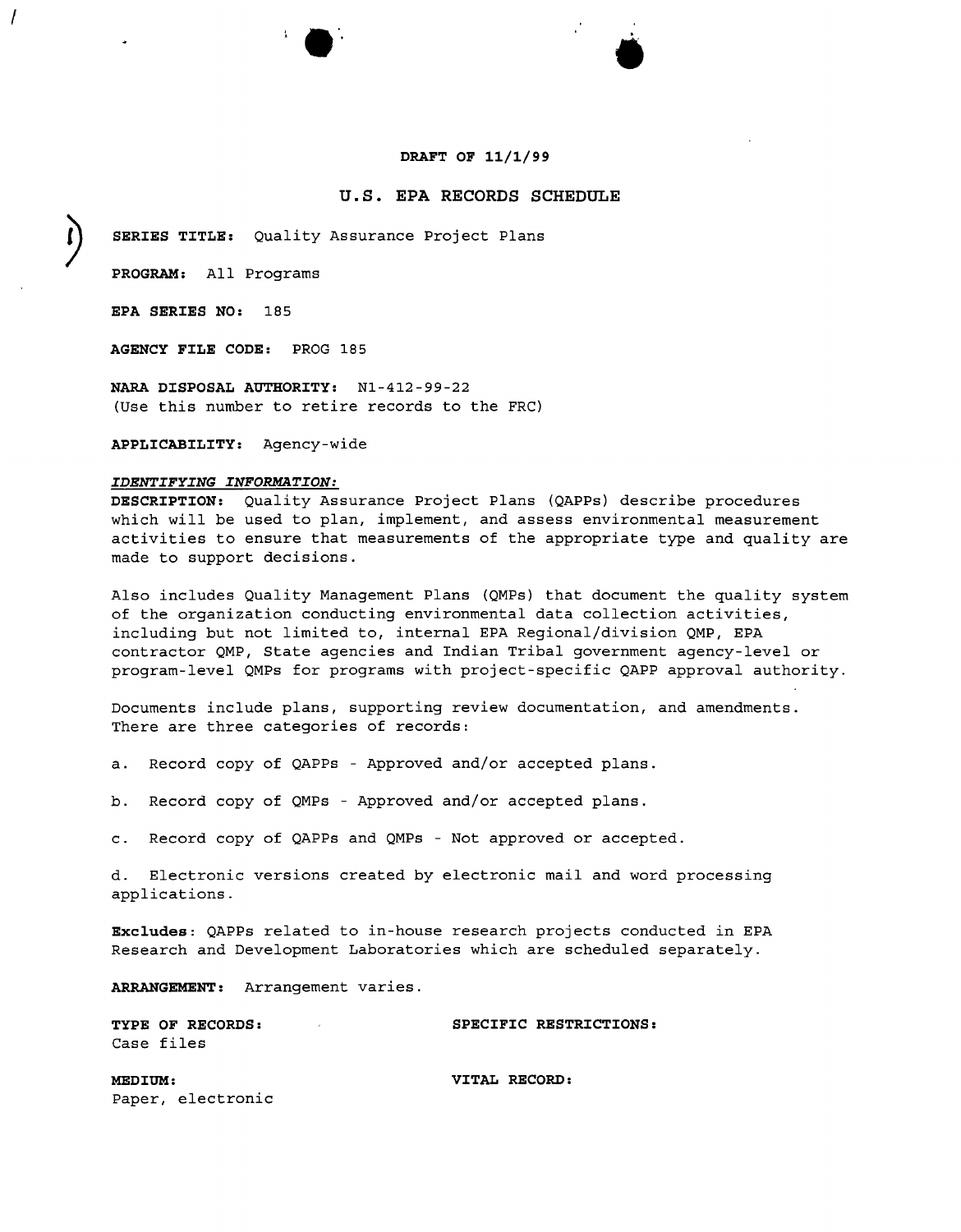#### **DRAFT OF 11/1/99**

•

# **u.s. EPA RECORDS SCHEDULE**

SERIES TITLE: Quality Assurance Project Plans

**PROGRAM:** All Programs

**EPA SERIES NO:** 185

*I*

**AGENCY FILE CODE:** PROG 185

**NARA DISPOSAL AUTHORITY:** Nl-412-99-22 (Use this number to retire records to the FRC)

**APPLICABILITY:** Agency-wide

#### *IDENTIFYING INFORMATION:*

**DESCRIPTION:** Quality Assurance Project Plans (QAPPs) describe procedures which will be used to plan, implement, and assess environmental measurement activities to ensure that measurements of the appropriate type and quality are made to support decisions.

Also includes Quality Management Plans (QMPs) that document the quality system of the organization conducting environmental data collection activities, including but not limited to, internal EPA Regional/division QMP, EPA contractor QMP, State agencies and Indian Tribal government agency-level or program-level QMPs for programs with project-specific QAPP approval authority.

Documents include plans, supporting review documentation, and amendments. There are three categories of records:

- a. Record copy of QAPPs Approved and/or accepted plans.
- b. Record copy of QMPs Approved and/or accepted plans.
- c. Record copy of QAPPs and QMPs Not approved or accepted.

d. Electronic versions created by electronic mail and word processing applications.

**Excludes:** QAPPs related to in-house research projects conducted in EPA Research and Development Laboratories which are scheduled separately.

**ARRANGEMENT:** Arrangement varies.

| <b>TYPE OF RECORDS:</b> |  | SPECIFIC RESTRICTIONS: |
|-------------------------|--|------------------------|
| Case files              |  |                        |
|                         |  |                        |

**MEDIUM: VITAL RECORD:** Paper, electronic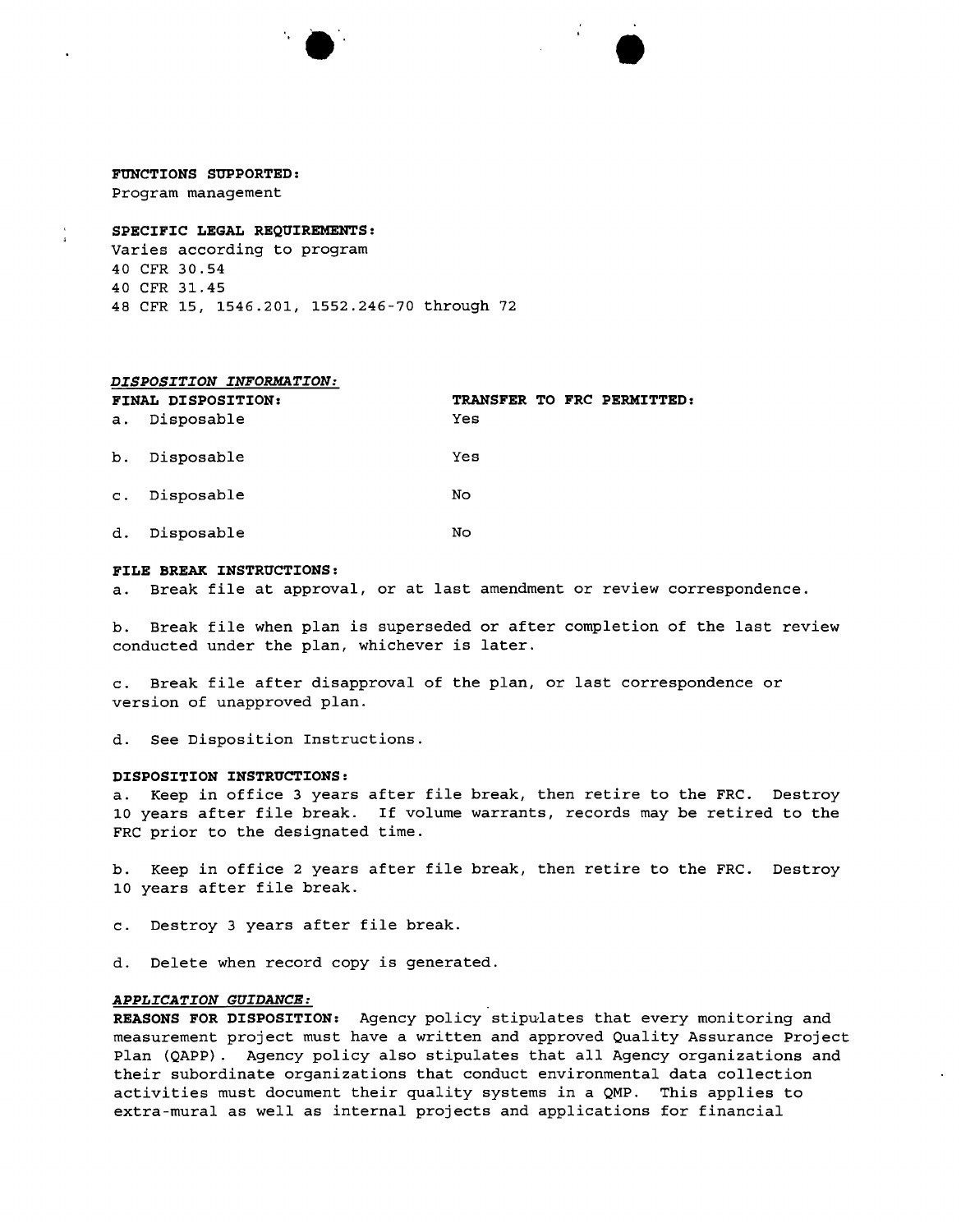# **FUNCTIONS SUPPORTED:**

Program management

### **SPECIFIC LEGAL REQUIREMENTS:**

Varies according to program CFR 30.54 CFR 31.45 CFR 15, 1546.201, 1552.246-70 through 72

 $\bullet$ 

#### *DISPOSITION INFORMATION:*

|                | FINAL DISPOSITION: |     |  | TRANSFER TO FRC PERMITTED: |
|----------------|--------------------|-----|--|----------------------------|
| а.             | Disposable         | Yes |  |                            |
| b.             | Disposable         | Yes |  |                            |
| $\mathbf{C}$ . | Disposable         | No  |  |                            |
| d.             | Disposable         | No  |  |                            |

#### **FILE BREAK INSTRUCTIONS:**

a. Break file at approval, or at last amendment or review correspondence.

b. Break file when plan is superseded or after completion of the last review conducted under the plan, whichever is later.

c. Break file after disapproval of the plan, or last correspondence or version of unapproved plan.

d. See Disposition Instructions.

#### **DISPOSITION INSTRUCTIONS:**

a. Keep in office 3 years after file break, then retire to the FRC. Destroy 10 years after file break. If volume warrants, records may be retired to the FRC prior to the designated time.

b. Keep in office 2 years after file break, then retire to the FRC. Destroy 10 years after file break.

c. Destroy 3 years after file break.

d. Delete when record copy is generated.

## *APPLICATION GUIDANCE:*

**REASONS FOR DISPOSITION:** Agency policy stipulates that every monitoring and measurement project must have a written and approved Quality Assurance Project Plan (QAPP). Agency policy also stipulates that all Agency organizations and their subordinate organizations that conduct environmental data collection activities must document their quality systems in a QMP. This applies to extra-mural as well as internal projects and applications for financial